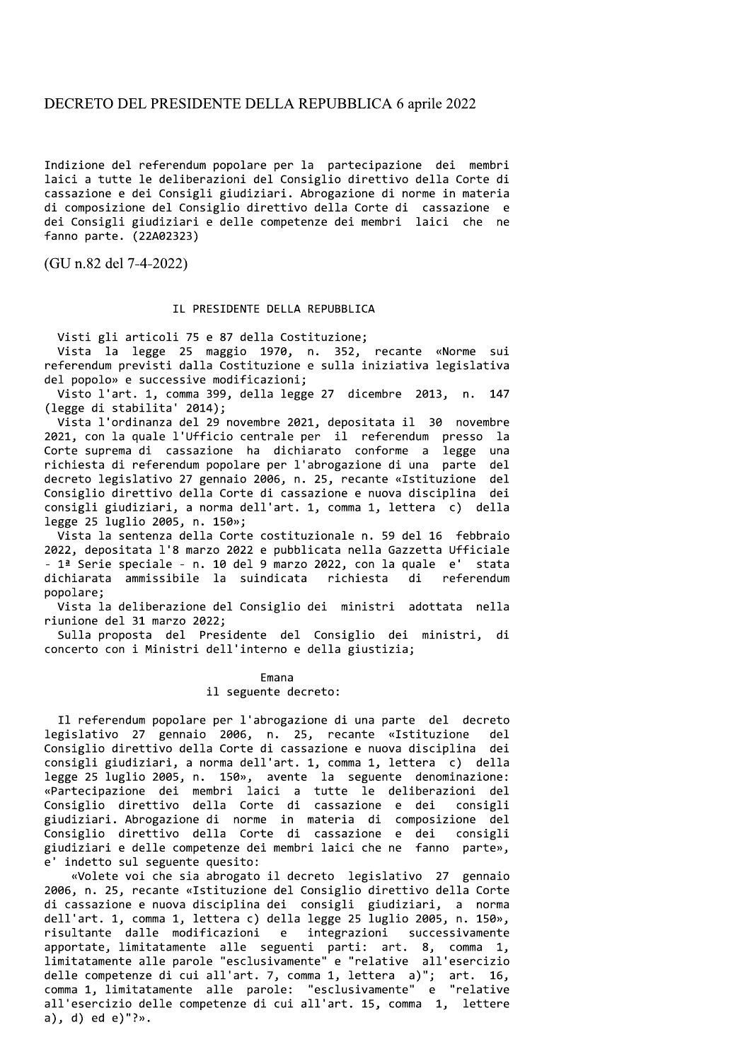## DECRETO DEL PRESIDENTE DELLA REPUBBLICA 6 aprile 2022

Indizione del referendum popolare per la partecipazione dei membri laici a tutte le deliberazioni del Consiglio direttivo della Corte di cassazione e dei Consigli giudiziari. Abrogazione di norme in materia di composizione del Consiglio direttivo della Corte di cassazione e dei Consigli giudiziari e delle competenze dei membri laici che ne fanno parte. (22A02323)

(GU n.82 del 7-4-2022)

## IL PRESIDENTE DELLA REPUBBLICA

Visti gli articoli 75 e 87 della Costituzione;

Vista la legge 25 maggio 1970, n. 352, recante «Norme sui referendum previsti dalla Costituzione e sulla iniziativa legislativa del popolo» e successive modificazioni;

Visto l'art. 1, comma 399, della legge 27 dicembre 2013, n. 147 (legge di stabilita' 2014);

Vista l'ordinanza del 29 novembre 2021, depositata il 30 novembre 2021, con la quale l'Ufficio centrale per il referendum presso la Corte suprema di cassazione ha dichiarato conforme a legge una richiesta di referendum popolare per l'abrogazione di una parte del decreto legislativo 27 gennaio 2006, n. 25, recante «Istituzione del Consiglio direttivo della Corte di cassazione e nuova disciplina dei consigli giudiziari, a norma dell'art. 1, comma 1, lettera c) della legge 25 luglio 2005, n. 150»;

Vista la sentenza della Corte costituzionale n. 59 del 16 febbraio 2022, depositata l'8 marzo 2022 e pubblicata nella Gazzetta Ufficiale - 1ª Serie speciale - n. 10 del 9 marzo 2022, con la quale e' stata dichiarata ammissibile la suindicata richiesta di referendum popolare;

Vista la deliberazione del Consiglio dei ministri adottata nella riunione del 31 marzo 2022;

Sulla proposta del Presidente del Consiglio dei ministri, di concerto con i Ministri dell'interno e della giustizia;

## Emana il seguente decreto:

Il referendum popolare per l'abrogazione di una parte del decreto legislativo 27 gennaio 2006, n. 25, recante «Istituzione  $de<sub>1</sub>$ Consiglio direttivo della Corte di cassazione e nuova disciplina dei consigli giudiziari, a norma dell'art. 1, comma 1, lettera c) della legge 25 luglio 2005, n. 150», avente la seguente denominazione: «Partecipazione dei membri laici a tutte le deliberazioni del<br>Consiglio direttivo della Corte di cassazione e dei consigli giudiziari. Abrogazione di norme in materia di composizione del Consiglio direttivo della Corte di cassazione e dei consigli giudiziari e delle competenze dei membri laici che ne fanno parte», e' indetto sul seguente quesito:

«Volete voi che sia abrogato il decreto legislativo 27 gennaio 2006, n. 25, recante «Istituzione del Consiglio direttivo della Corte di cassazione e nuova disciplina dei consigli giudiziari, a norma<br>dell'art. 1, comma 1, lettera c) della legge 25 luglio 2005, n. 150», risultante dalle modificazioni e integrazioni successivamente apportate, limitatamente alle seguenti parti: art. 8, comma 1, limitatamente alle parole "esclusivamente" e "relative all'esercizio delle competenze di cui all'art. 7, comma 1, lettera a)"; art. 16,<br>comma 1, limitatamente alle parole: "esclusivamente" e "relative all'esercizio delle competenze di cui all'art. 15, comma 1, lettere a), d) ed e)"?».